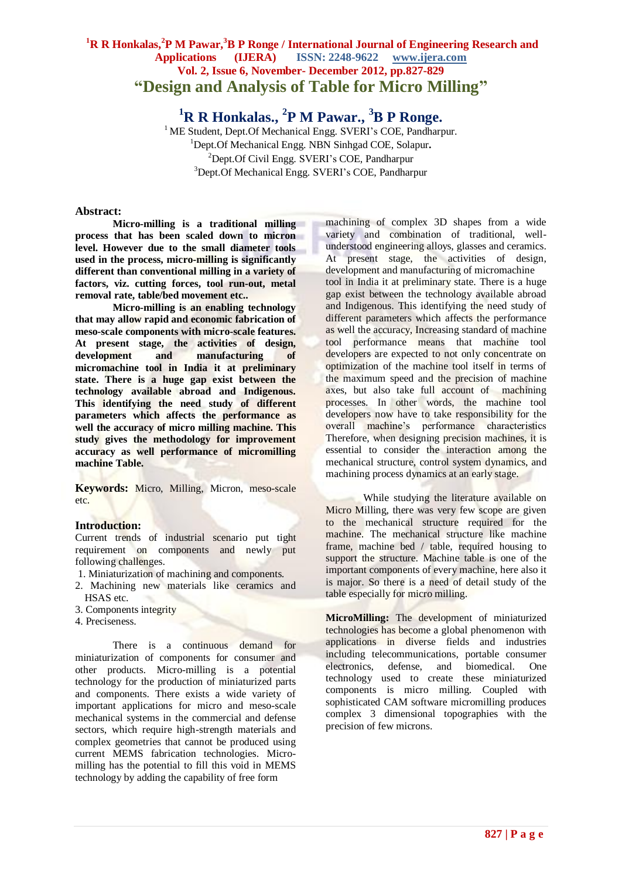# **<sup>1</sup>R R Honkalas, 2 P M Pawar,<sup>3</sup>B P Ronge / International Journal of Engineering Research and Applications (IJERA) ISSN: 2248-9622 www.ijera.com Vol. 2, Issue 6, November- December 2012, pp.827-829 "Design and Analysis of Table for Micro Milling"**

**<sup>1</sup>R R Honkalas., 2 P M Pawar., <sup>3</sup>B P Ronge.**

<sup>1</sup> ME Student, Dept.Of Mechanical Engg. SVERI's COE, Pandharpur. <sup>1</sup>Dept.Of Mechanical Engg. NBN Sinhgad COE, Solapur**.**  ${}^{2}$ Dept.Of Civil Engg. SVERI's COE, Pandharpur <sup>3</sup>Dept.Of Mechanical Engg. SVERI's COE, Pandharpur

#### **Abstract:**

**Micro-milling is a traditional milling process that has been scaled down to micron level. However due to the small diameter tools used in the process, micro-milling is significantly different than conventional milling in a variety of factors, viz. cutting forces, tool run-out, metal removal rate, table/bed movement etc..**

**Micro-milling is an enabling technology that may allow rapid and economic fabrication of meso-scale components with micro-scale features. At present stage, the activities of design, development and manufacturing of micromachine tool in India it at preliminary state. There is a huge gap exist between the technology available abroad and Indigenous. This identifying the need study of different parameters which affects the performance as well the accuracy of micro milling machine. This study gives the methodology for improvement accuracy as well performance of micromilling machine Table.**

**Keywords:** Micro, Milling, Micron, meso-scale etc.

## **Introduction:**

Current trends of industrial scenario put tight requirement on components and newly put following challenges.

- 1. Miniaturization of machining and components.
- 2. Machining new materials like ceramics and HSAS etc.
- 3. Components integrity
- 4. Preciseness.

There is a continuous demand for miniaturization of components for consumer and other products. Micro-milling is a potential technology for the production of miniaturized parts and components. There exists a wide variety of important applications for micro and meso-scale mechanical systems in the commercial and defense sectors, which require high-strength materials and complex geometries that cannot be produced using current MEMS fabrication technologies. Micromilling has the potential to fill this void in MEMS technology by adding the capability of free form

machining of complex 3D shapes from a wide variety and combination of traditional, wellunderstood engineering alloys, glasses and ceramics. At present stage, the activities of design, development and manufacturing of micromachine tool in India it at preliminary state. There is a huge gap exist between the technology available abroad and Indigenous. This identifying the need study of different parameters which affects the performance as well the accuracy, Increasing standard of machine tool performance means that machine tool developers are expected to not only concentrate on optimization of the machine tool itself in terms of the maximum speed and the precision of machine axes, but also take full account of machining processes. In other words, the machine tool developers now have to take responsibility for the overall machine's performance characteristics Therefore, when designing precision machines, it is essential to consider the interaction among the mechanical structure, control system dynamics, and machining process dynamics at an early stage.

While studying the literature available on Micro Milling, there was very few scope are given to the mechanical structure required for the machine. The mechanical structure like machine frame, machine bed / table, required housing to support the structure. Machine table is one of the important components of every machine, here also it is major. So there is a need of detail study of the table especially for micro milling.

**MicroMilling:** The development of miniaturized technologies has become a global phenomenon with applications in diverse fields and industries including telecommunications, portable consumer electronics, defense, and biomedical. One technology used to create these miniaturized components is micro milling. Coupled with sophisticated CAM software micromilling produces complex 3 dimensional topographies with the precision of few microns.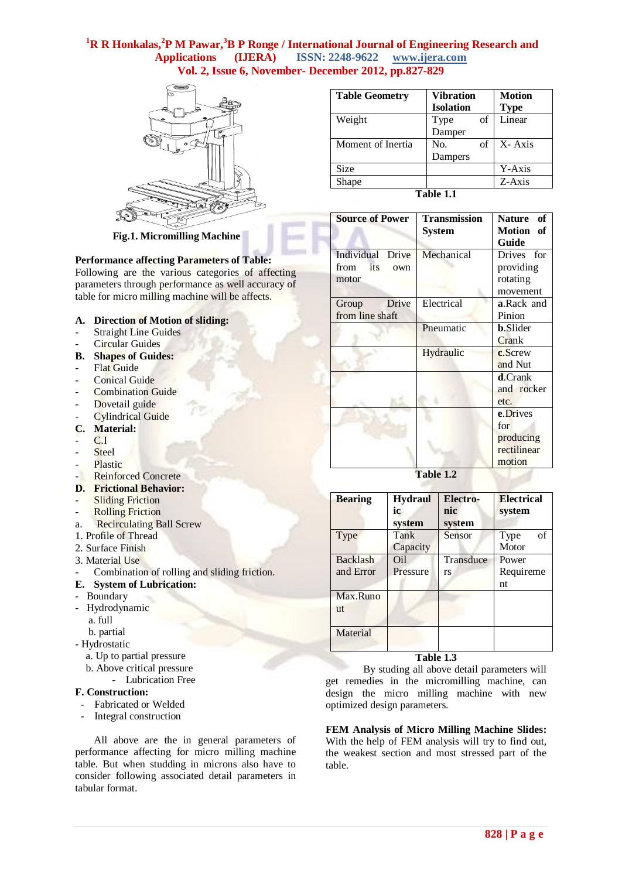# **<sup>1</sup>R R Honkalas, 2 P M Pawar,<sup>3</sup>B P Ronge / International Journal of Engineering Research and Applications (IJERA) ISSN: 2248-9622 www.ijera.com Vol. 2, Issue 6, November- December 2012, pp.827-829**



**Fig.1. Micromilling Machine**

#### **Performance affecting Parameters of Table:**

Following are the various categories of affecting parameters through performance as well accuracy of table for micro milling machine will be affects.

- **A. Direction of Motion of sliding:**
- **Straight Line Guides**
- Circular Guides
- **B. Shapes of Guides:**
- **Flat Guide**
- Conical Guide
- Combination Guide
- Dovetail guide
- Cylindrical Guide
- **C. Material:**
- $C.I$
- **Steel**
- Plastic
- Reinforced Concrete
- **D. Frictional Behavior:**
- **Sliding Friction**
- **Rolling Friction**
- a. Recirculating Ball Screw 1. Profile of Thread
- 2. Surface Finish
- 3. Material Use
- Combination of rolling and sliding friction.
- **E. System of Lubrication:**
- Boundary
- Hydrodynamic
	- a. full
	- b. partial
- Hydrostatic
	- a. Up to partial pressure
	- b. Above critical pressure
		- Lubrication Free

# **F. Construction:**

- Fabricated or Welded
- Integral construction

All above are the in general parameters of performance affecting for micro milling machine table. But when studding in microns also have to consider following associated detail parameters in tabular format.

| <b>Table Geometry</b> | <b>Vibration</b> | <b>Motion</b> |  |  |
|-----------------------|------------------|---------------|--|--|
|                       | <b>Isolation</b> | <b>Type</b>   |  |  |
| Weight                | οf<br>Type       | Linear        |  |  |
|                       | Damper           |               |  |  |
| Moment of Inertia     | No.<br>of        | X-Axis        |  |  |
|                       | Dampers          |               |  |  |
| <b>Size</b>           |                  | Y-Axis        |  |  |
| Shape                 |                  | Z-Axis        |  |  |
| $T_2$ kla $1$ 1       |                  |               |  |  |

**Table 1.1**

| <b>Transmission</b> | <b>Nature</b><br>of |
|---------------------|---------------------|
| System              | Motion of           |
|                     | Guide               |
| Mechanical          | Drives for          |
|                     | providing           |
|                     | rotating            |
|                     | movement            |
| Electrical          | <b>a.Rack</b> and   |
|                     | Pinion              |
| Pneumatic           | <b>b.Slider</b>     |
|                     | Crank               |
| Hydraulic           | c.Screw             |
|                     | and Nut             |
|                     | <b>d</b> .Crank     |
|                     | and rocker          |
|                     | etc.                |
|                     | e.Drives            |
|                     | for                 |
|                     | producing           |
|                     | rectilinear         |
|                     | motion              |
|                     |                     |

**Table 1.2**

| <b>Bearing</b>        | <b>Hydraul</b><br>ic<br>system | Electro-<br>nic<br>system | <b>Electrical</b><br>system |
|-----------------------|--------------------------------|---------------------------|-----------------------------|
| Type                  | Tank<br>Capacity               | Sensor                    | Type<br>of<br>Motor         |
| Backlash<br>and Error | Oil<br>Pressure                | Transduce<br>rs           | Power<br>Requireme<br>nt    |
| Max.Runo<br>ut        |                                |                           |                             |
| Material              |                                |                           |                             |

**Table 1.3**

By studing all above detail parameters will get remedies in the micromilling machine, can design the micro milling machine with new optimized design parameters.

**FEM Analysis of Micro Milling Machine Slides:**  With the help of FEM analysis will try to find out, the weakest section and most stressed part of the table.